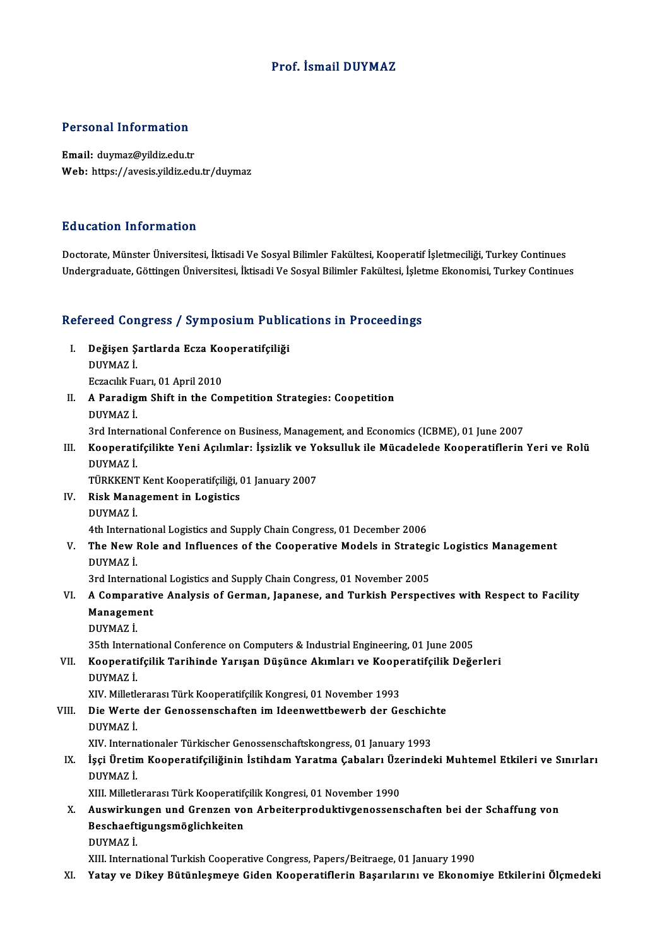### Prof. İsmail DUYMAZ

#### Personal Information

Email: duymaz@yildiz.edu.tr Web: https://avesis.yildiz.edu.tr/duymaz

#### Education Information

Doctorate, Münster Üniversitesi, İktisadi Ve Sosyal Bilimler Fakültesi, Kooperatif İşletmeciliği, Turkey Continues Undergraduate, Göttingen Üniversitesi, İktisadi Ve Sosyal Bilimler Fakültesi, İşletme Ekonomisi, Turkey Continues

# ondergraduate, Gotungen oniversitest, ikusadi ve sosyal Blilmler Fakultest, işlet<br>Refereed Congress / Symposium Publications in Proceedings

- efereed Congress / Symposium Publio<br>I. Değişen Şartlarda Ecza Kooperatifçiliği<br>DUYMAZİ need dor.<br>Değişen Ş<br>DUYMAZ İ. Değişen Şartlarda Ecza Ko<br>DUYMAZ İ.<br>Eczacılık Fuarı, 01 April 2010<br>A Banadiam Shift in the Co
- DUYMAZ İ.<br>Eczacılık Fuarı, 01 April 2010<br>II. A Paradigm Shift in the Competition Strategies: Coopetition<br>DUYMAZ İ. Eczacılık Fu<br>A Paradig<br>DUYMAZ İ. 3rd InternationalConference onBusiness,Management,andEconomics (ICBME),01 June 2007

DUYMAZ İ.<br>3rd International Conference on Business, Management, and Economics (ICBME), 01 June 2007<br>III. Kooperatifçilikte Yeni Açılımlar: İşsizlik ve Yoksulluk ile Mücadelede Kooperatiflerin Yeri ve Rolü<br>DUYMAZ İ 3rd Interna<br><mark>Kooperati</mark><br>DUYMAZ İ.<br>TÜRKKENT Kooperatifçilikte Yeni Açılımlar: İşsizlik ve Yo<br>DUYMAZ İ.<br>TÜRKKENT Kent Kooperatifçiliği, 01 January 2007<br>Pisk Managamant in Lagistics

DUYMAZ İ.<br>TÜRKKENT Kent Kooperatifçiliği, (<br>IV. Risk Management in Logistics<br>DUYMAZ İ TÜRKKENT<br>Risk Mana<br>DUYMAZ İ.<br>4th Interna

DUYMAZ İ.<br>4th International Logistics and Supply Chain Congress, 01 December 2006

## DUYMAZ İ.<br>4th International Logistics and Supply Chain Congress, 01 December 2006<br>V. The New Role and Influences of the Cooperative Models in Strategic Logistics Management<br>DUYMAZ İ 4th Interna<br>The New I<br>DUYMAZ İ. The New Role and Influences of the Cooperative Models in Strategi<br>DUYMAZ İ.<br>3rd International Logistics and Supply Chain Congress, 01 November 2005<br>A Comparative Analysis of Corman, Japanese, and Turkish Boranes

- DUYMAZ İ.<br>3rd International Logistics and Supply Chain Congress, 01 November 2005<br>VI. A Comparative Analysis of German, Japanese, and Turkish Perspectives with Respect to Facility<br>Managamant 3rd Internation<br>A Comparativ<br>Management<br>DUVMA7 i A Compar<br>Manageme<br>DUYMAZ İ. Management<br>DUYMAZ İ.<br>35th International Conference on Computers & Industrial Engineering, 01 June 2005<br>Kooperatifailik Tarihinde Yarısan Düsünee Akımları ve Kooperatifailik Değe
	-

## DUYMAZ İ.<br>35th International Conference on Computers & Industrial Engineering, 01 June 2005<br>VII. Kooperatifçilik Tarihinde Yarışan Düşünce Akımları ve Kooperatifçilik Değerleri<br>DUYMAZ İ. 35th Intern<br>Kooperati<br>DUYMAZ İ.<br>YW. Milletk Kooperatifçilik Tarihinde Yarışan Düşünce Akımları ve Koope<br>DUYMAZ İ.<br>XIV. Milletlerarası Türk Kooperatifçilik Kongresi, 01 November 1993<br>Die Werte der Conessensshaften im Ideenwetthewerh der Ce

VIII. Die Werte der Genossenschaften im Ideenwettbewerb der Geschichte<br>DUYMAZ İ. XIV. Milletle<br>Die Werte<br>DUYMAZ İ.<br>YW. Intern Die Werte der Genossenschaften im Ideenwettbewerb der Geschich<br>DUYMAZ İ.<br>XIV. Internationaler Türkischer Genossenschaftskongress,01 January 1993<br>İssi Üretim Kooperatifsiliğinin İstihdam Yaratma Cabaları Üzerindel

## DUYMAZ İ.<br>IX. İşçi Üretim Kooperatifçiliğinin İstihdam Yaratma Çabaları Üzerindeki Muhtemel Etkileri ve Sınırları<br>DUYMAZ İ XIV. Interna<br>İşçi <mark>Üretir</mark><br>DUYMAZ İ.<br>YUL Milletk İşçi Üretim Kooperatifçiliğinin İstihdam Yaratma Çabaları Üze<br>DUYMAZ İ.<br>XIII. Milletlerarası Türk Kooperatifçilik Kongresi, 01 November 1990<br>Auguitrkungen und Crongen von Arbeiternreduktivgenessene

DUYMAZ İ.<br>XIII. Milletlerarası Türk Kooperatifçilik Kongresi, 01 November 1990<br>X. Auswirkungen und Grenzen von Arbeiterproduktivgenossenschaften bei der Schaffung von<br>Reschaeftigungsmöglichkeiten XIII. Milletlerarası Türk Kooperatifçilik Kongresi, 01 November 1990<br>Auswirkungen und Grenzen von Arbeiterproduktivgenossen:<br>Beschaeftigungsmöglichkeiten<br>DUYMAZ İ. Auswirku<br>Beschaeft<br>DUYMAZ İ.<br><sup>VIII</sup> Intern

XIII. International Turkish Cooperative Congress, Papers/Beitraege, 01 January 1990

#### XI. Yatay ve Dikey Bütünleşmeye Giden Kooperatiflerin Başarılarını ve Ekonomiye Etkilerini Ölçmedeki